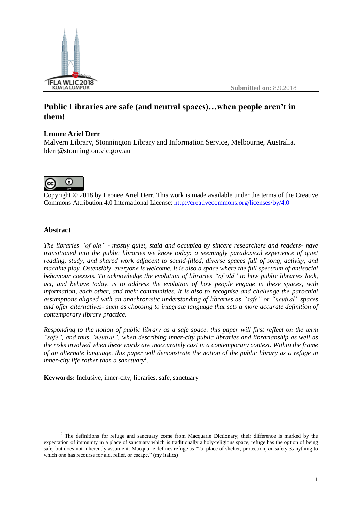

**Submitted on:** 8.9.2018

# **Public Libraries are safe (and neutral spaces)…when people aren't in them!**

## **Leonee Ariel Derr**

Malvern Library, Stonnington Library and Information Service, Melbourne, Australia. lderr@stonnington.vic.gov.au



Copyright © 2018 by Leonee Ariel Derr. This work is made available under the terms of the Creative Commons Attribution 4.0 International License: <http://creativecommons.org/licenses/by/4.0>

## **Abstract**

 $\overline{a}$ 

*The libraries "of old" - mostly quiet, staid and occupied by sincere researchers and readers- have transitioned into the public libraries we know today: a seemingly paradoxical experience of quiet reading, study, and shared work adjacent to sound-filled, diverse spaces full of song, activity, and machine play. Ostensibly, everyone is welcome. It is also a space where the full spectrum of antisocial behaviour coexists. To acknowledge the evolution of libraries "of old" to how public libraries look, act, and behave today, is to address the evolution of how people engage in these spaces, with information, each other, and their communities. It is also to recognise and challenge the parochial assumptions aligned with an anachronistic understanding of libraries as "safe" or "neutral" spaces and offer alternatives- such as choosing to integrate language that sets a more accurate definition of contemporary library practice.*

Responding to the notion of public library as a safe space, this paper will first reflect on the term *"safe", and thus "neutral", when describing inner-city public libraries and librarianship as well as the risks involved when these words are inaccurately cast in a contemporary context. Within the frame* of an alternate language, this paper will demonstrate the notion of the public library as a refuge in *inner-city life rather than a sanctuary<sup>1</sup> .*

**Keywords:** Inclusive, inner-city, libraries, safe, sanctuary

<sup>&</sup>lt;sup>1</sup> The definitions for refuge and sanctuary come from Macquarie Dictionary; their difference is marked by the expectation of immunity in a place of sanctuary which is traditionally a holy/religious space; refuge has the option of being safe, but does not inherently assume it. Macquarie defines refuge as "2.a place of shelter, protection, *or* safety.3.anything to which one has recourse for aid, relief, or escape." (my italics)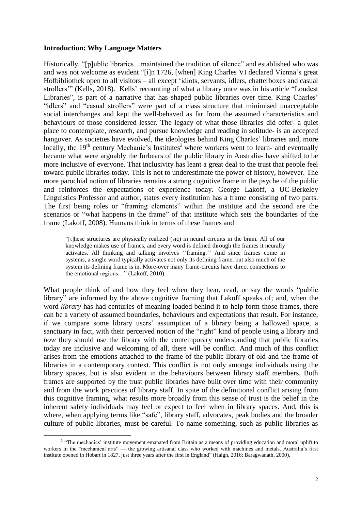#### **Introduction: Why Language Matters**

 $\overline{a}$ 

Historically, "[p]ublic libraries...maintained the tradition of silence" and established who was and was not welcome as evident "[i]n 1726, [when] King Charles VI declared Vienna's great Hofbibliothek open to all visitors – all except 'idiots, servants, idlers, chatterboxes and casual strollers'" (Kells, 2018). Kells' recounting of what a library once was in his article "Loudest Libraries", is part of a narrative that has shaped public libraries over time. King Charles' "idlers" and "casual strollers" were part of a class structure that minimised unacceptable social interchanges and kept the well-behaved as far from the assumed characteristics and behaviours of those considered lesser. The legacy of what those libraries did offer- a quiet place to contemplate, research, and pursue knowledge and reading in solitude- is an accepted hangover. As societies have evolved, the ideologies behind King Charles' libraries and, more locally, the  $19<sup>th</sup>$  century Mechanic's Institutes<sup>2</sup> where workers went to learn- and eventually became what were arguably the forbears of the public library in Australia- have shifted to be more inclusive of everyone. That inclusivity has leant a great deal to the trust that people feel toward public libraries today. This is not to underestimate the power of history, however. The more parochial notion of libraries remains a strong cognitive frame in the psyche of the public and reinforces the expectations of experience today. George Lakoff, a UC-Berkeley Linguistics Professor and author, states every institution has a frame consisting of two parts. The first being roles or "framing elements" within the institute and the second are the scenarios or "what happens in the frame" of that institute which sets the boundaries of the frame (Lakoff, 2008). Humans think in terms of these frames and

"[t]hese structures are physically realized (sic) in neural circuits in the brain. All of our knowledge makes use of frames, and every word is defined through the frames it neurally activates. All thinking and talking involves ''framing.'' And since frames come in systems, a single word typically activates not only its defining frame, but also much of the system its defining frame is in. More-over many frame-circuits have direct connections to the emotional regions…" (Lakoff, 2010)

What people think of and how they feel when they hear, read, or say the words "public library" are informed by the above cognitive framing that Lakoff speaks of; and, when the word *library* has had centuries of meaning loaded behind it to help form those frames, there can be a variety of assumed boundaries, behaviours and expectations that result. For instance, if we compare some library users' assumption of a library being a hallowed space, a sanctuary in fact, with their perceived notion of the "right" kind of people using a library and *how* they should use the library with the contemporary understanding that public libraries today are inclusive and welcoming of all, there will be conflict. And much of this conflict arises from the emotions attached to the frame of the public library of old and the frame of libraries in a contemporary context. This conflict is not only amongst individuals using the library spaces, but is also evident in the behaviours between library staff members. Both frames are supported by the trust public libraries have built over time with their community and from the work practices of library staff. In spite of the definitional conflict arising from this cognitive framing, what results more broadly from this sense of trust is the belief in the inherent safety individuals may feel or expect to feel when in library spaces. And, this is where, when applying terms like "safe", library staff, advocates, peak bodies and the broader culture of public libraries, must be careful. To name something, such as public libraries as

<sup>&</sup>lt;sup>2</sup> "The mechanics' institute movement emanated from Britain as a means of providing education and moral uplift to workers in the "mechanical arts" — the growing artisanal class who worked with machines and metals. Australia's first institute opened in Hobart in 1827, just three years after the first in England" (Haigh, 2016; Baragwanath, 2000).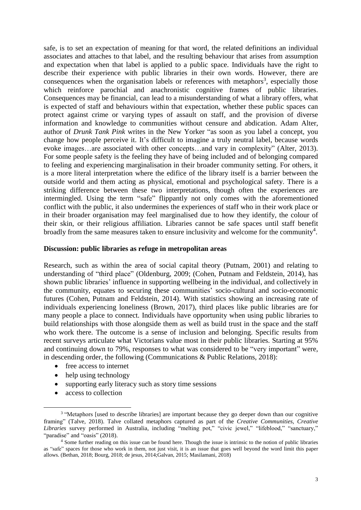safe, is to set an expectation of meaning for that word, the related definitions an individual associates and attaches to that label, and the resulting behaviour that arises from assumption and expectation when that label is applied to a public space. Individuals have the right to describe their experience with public libraries in their own words. However, there are consequences when the organisation labels or references with metaphors<sup>3</sup>, especially those which reinforce parochial and anachronistic cognitive frames of public libraries. Consequences may be financial, can lead to a misunderstanding of what a library offers, what is expected of staff and behaviours within that expectation, whether these public spaces can protect against crime or varying types of assault on staff, and the provision of diverse information and knowledge to communities without censure and abdication. Adam Alter, author of *Drunk Tank Pink* writes in the New Yorker "as soon as you label a concept, you change how people perceive it. It's difficult to imagine a truly neutral label, because words evoke images…are associated with other concepts…and vary in complexity" (Alter, 2013). For some people safety is the feeling they have of being included and of belonging compared to feeling and experiencing marginalisation in their broader community setting. For others, it is a more literal interpretation where the edifice of the library itself is a barrier between the outside world and them acting as physical, emotional and psychological safety. There is a striking difference between these two interpretations, though often the experiences are intermingled. Using the term "safe" flippantly not only comes with the aforementioned conflict with the public, it also undermines the experiences of staff who in their work place or in their broader organisation may feel marginalised due to how they identify, the colour of their skin, or their religious affiliation. Libraries cannot be safe spaces until staff benefit broadly from the same measures taken to ensure inclusivity and welcome for the community<sup>4</sup>.

#### **Discussion: public libraries as refuge in metropolitan areas**

Research, such as within the area of social capital theory (Putnam, 2001) and relating to understanding of "third place" (Oldenburg, 2009; (Cohen, Putnam and Feldstein, 2014), has shown public libraries' influence in supporting wellbeing in the individual, and collectively in the community, equates to securing these communities' socio-cultural and socio-economic futures (Cohen, Putnam and Feldstein, 2014). With statistics showing an increasing rate of individuals experiencing loneliness (Brown, 2017), third places like public libraries are for many people a place to connect. Individuals have opportunity when using public libraries to build relationships with those alongside them as well as build trust in the space and the staff who work there. The outcome is a sense of inclusion and belonging. Specific results from recent surveys articulate what Victorians value most in their public libraries. Starting at 95% and continuing down to 79%, responses to what was considered to be "very important" were, in descending order, the following (Communications & Public Relations, 2018):

- free access to internet
- help using technology
- supporting early literacy such as story time sessions
- access to collection

 $\overline{a}$ 

<sup>&</sup>lt;sup>3</sup> "Metaphors [used to describe libraries] are important because they go deeper down than our cognitive framing" (Talve, 2018). Talve collated metaphors captured as part of the *Creative Communities, Creative Libraries* survey performed in Australia, including "melting pot," "civic jewel," "lifeblood," "sanctuary," "paradise" and "oasis" (2018).

<sup>4</sup> Some further reading on this issue can be found here. Though the issue is intrinsic to the notion of public libraries as "safe" spaces for those who work in them, not just visit, it is an issue that goes well beyond the word limit this paper allows. (Bethan, 2018; Bourg, 2018; de jesus, 2014;Galvan, 2015; Masilamani, 2018)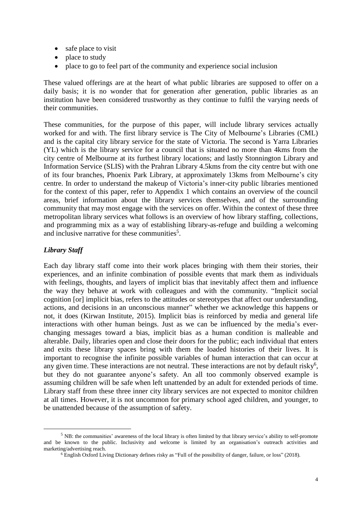- safe place to visit
- place to study
- place to go to feel part of the community and experience social inclusion

These valued offerings are at the heart of what public libraries are supposed to offer on a daily basis; it is no wonder that for generation after generation, public libraries as an institution have been considered trustworthy as they continue to fulfil the varying needs of their communities.

These communities, for the purpose of this paper, will include library services actually worked for and with. The first library service is The City of Melbourne's Libraries (CML) and is the capital city library service for the state of Victoria. The second is Yarra Libraries (YL) which is the library service for a council that is situated no more than 4kms from the city centre of Melbourne at its furthest library locations; and lastly Stonnington Library and Information Service (SLIS) with the Prahran Library 4.5kms from the city centre but with one of its four branches, Phoenix Park Library, at approximately 13kms from Melbourne's city centre. In order to understand the makeup of Victoria's inner-city public libraries mentioned for the context of this paper, refer to Appendix 1 which contains an overview of the council areas, brief information about the library services themselves, and of the surrounding community that may most engage with the services on offer. Within the context of these three metropolitan library services what follows is an overview of how library staffing, collections, and programming mix as a way of establishing library-as-refuge and building a welcoming and inclusive narrative for these communities<sup>5</sup>.

# *Library Staff*

 $\overline{a}$ 

Each day library staff come into their work places bringing with them their stories, their experiences, and an infinite combination of possible events that mark them as individuals with feelings, thoughts, and layers of implicit bias that inevitably affect them and influence the way they behave at work with colleagues and with the community. "Implicit social cognition [or] implicit bias, refers to the attitudes or stereotypes that affect our understanding, actions, and decisions in an unconscious manner" whether we acknowledge this happens or not, it does (Kirwan Institute, 2015). Implicit bias is reinforced by media and general life interactions with other human beings. Just as we can be influenced by the media's everchanging messages toward a bias, implicit bias as a human condition is malleable and alterable. Daily, libraries open and close their doors for the public; each individual that enters and exits these library spaces bring with them the loaded histories of their lives. It is important to recognise the infinite possible variables of human interaction that can occur at any given time. These interactions are not neutral. These interactions are not by default risky<sup>6</sup>, but they do not guarantee anyone's safety. An all too commonly observed example is assuming children will be safe when left unattended by an adult for extended periods of time. Library staff from these three inner city library services are not expected to monitor children at all times. However, it is not uncommon for primary school aged children, and younger, to be unattended because of the assumption of safety.

 $<sup>5</sup>$  NB: the communities' awareness of the local library is often limited by that library service's ability to self-promote</sup> and be known to the public. Inclusivity and welcome is limited by an organisation's outreach activities and marketing/advertising reach.

<sup>6</sup> English Oxford Living Dictionary defines risky as "Full of the possibility of danger, failure, or loss" (2018).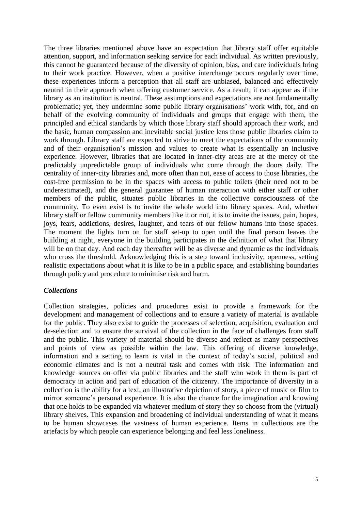The three libraries mentioned above have an expectation that library staff offer equitable attention, support, and information seeking service for each individual. As written previously, this cannot be guaranteed because of the diversity of opinion, bias, and care individuals bring to their work practice. However, when a positive interchange occurs regularly over time, these experiences inform a perception that all staff are unbiased, balanced and effectively neutral in their approach when offering customer service. As a result, it can appear as if the library as an institution is neutral. These assumptions and expectations are not fundamentally problematic; yet, they undermine some public library organisations' work with, for, and on behalf of the evolving community of individuals and groups that engage with them, the principled and ethical standards by which those library staff should approach their work, and the basic, human compassion and inevitable social justice lens those public libraries claim to work through. Library staff are expected to strive to meet the expectations of the community and of their organisation's mission and values to create what is essentially an inclusive experience. However, libraries that are located in inner-city areas are at the mercy of the predictably unpredictable group of individuals who come through the doors daily. The centrality of inner-city libraries and, more often than not, ease of access to those libraries, the cost-free permission to be in the spaces with access to public toilets (their need not to be underestimated), and the general guarantee of human interaction with either staff or other members of the public, situates public libraries in the collective consciousness of the community. To even exist is to invite the whole world into library spaces. And, whether library staff or fellow community members like it or not, it is to invite the issues, pain, hopes, joys, fears, addictions, desires, laughter, and tears of our fellow humans into those spaces. The moment the lights turn on for staff set-up to open until the final person leaves the building at night, everyone in the building participates in the definition of what that library will be on that day. And each day thereafter will be as diverse and dynamic as the individuals who cross the threshold. Acknowledging this is a step toward inclusivity, openness, setting realistic expectations about what it is like to be in a public space, and establishing boundaries through policy and procedure to minimise risk and harm.

#### *Collections*

Collection strategies, policies and procedures exist to provide a framework for the development and management of collections and to ensure a variety of material is available for the public. They also exist to guide the processes of selection, acquisition, evaluation and de-selection and to ensure the survival of the collection in the face of challenges from staff and the public. This variety of material should be diverse and reflect as many perspectives and points of view as possible within the law. This offering of diverse knowledge, information and a setting to learn is vital in the context of today's social, political and economic climates and is not a neutral task and comes with risk. The information and knowledge sources on offer via public libraries and the staff who work in them is part of democracy in action and part of education of the citizenry. The importance of diversity in a collection is the ability for a text, an illustrative depiction of story, a piece of music or film to mirror someone's personal experience. It is also the chance for the imagination and knowing that one holds to be expanded via whatever medium of story they so choose from the (virtual) library shelves. This expansion and broadening of individual understanding of what it means to be human showcases the vastness of human experience. Items in collections are the artefacts by which people can experience belonging and feel less loneliness.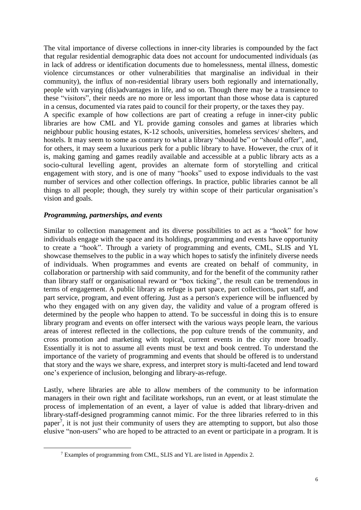The vital importance of diverse collections in inner-city libraries is compounded by the fact that regular residential demographic data does not account for undocumented individuals (as in lack of address or identification documents due to homelessness, mental illness, domestic violence circumstances or other vulnerabilities that marginalise an individual in their community), the influx of non-residential library users both regionally and internationally, people with varying (dis)advantages in life, and so on. Though there may be a transience to these "visitors", their needs are no more or less important than those whose data is captured in a census, documented via rates paid to council for their property, or the taxes they pay. A specific example of how collections are part of creating a refuge in inner-city public libraries are how CML and YL provide gaming consoles and games at libraries which neighbour public housing estates, K-12 schools, universities, homeless services/ shelters, and hostels. It may seem to some as contrary to what a library "should be" or "should offer", and, for others, it may seem a luxurious perk for a public library to have. However, the crux of it is, making gaming and games readily available and accessible at a public library acts as a socio-cultural levelling agent, provides an alternate form of storytelling and critical engagement with story, and is one of many "hooks" used to expose individuals to the vast

number of services and other collection offerings. In practice, public libraries cannot be all things to all people; though, they surely try within scope of their particular organisation's vision and goals.

## *Programming, partnerships, and events*

 $\overline{a}$ 

Similar to collection management and its diverse possibilities to act as a "hook" for how individuals engage with the space and its holdings, programming and events have opportunity to create a "hook". Through a variety of programming and events, CML, SLIS and YL showcase themselves to the public in a way which hopes to satisfy the infinitely diverse needs of individuals. When programmes and events are created on behalf of community, in collaboration or partnership with said community, and for the benefit of the community rather than library staff or organisational reward or "box ticking", the result can be tremendous in terms of engagement. A public library as refuge is part space, part collections, part staff, and part service, program, and event offering. Just as a person's experience will be influenced by who they engaged with on any given day, the validity and value of a program offered is determined by the people who happen to attend. To be successful in doing this is to ensure library program and events on offer intersect with the various ways people learn, the various areas of interest reflected in the collections, the pop culture trends of the community, and cross promotion and marketing with topical, current events in the city more broadly. Essentially it is not to assume all events must be text and book centred. To understand the importance of the variety of programming and events that should be offered is to understand that story and the ways we share, express, and interpret story is multi-faceted and lend toward one's experience of inclusion, belonging and library-as-refuge.

Lastly, where libraries are able to allow members of the community to be information managers in their own right and facilitate workshops, run an event, or at least stimulate the process of implementation of an event, a layer of value is added that library-driven and library-staff-designed programming cannot mimic. For the three libraries referred to in this paper<sup>7</sup>, it is not just their community of users they are attempting to support, but also those elusive "non-users" who are hoped to be attracted to an event or participate in a program. It is

<sup>7</sup> Examples of programming from CML, SLIS and YL are listed in Appendix 2.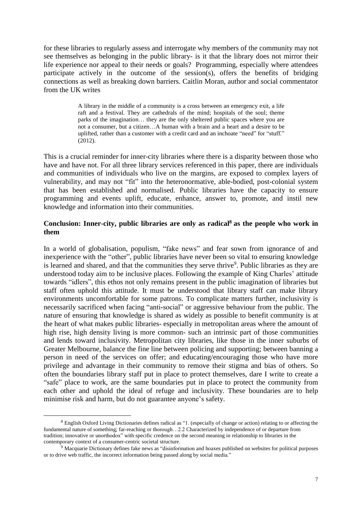for these libraries to regularly assess and interrogate why members of the community may not see themselves as belonging in the public library- is it that the library does not mirror their life experience nor appeal to their needs or goals? Programming, especially where attendees participate actively in the outcome of the session(s), offers the benefits of bridging connections as well as breaking down barriers. Caitlin Moran, author and social commentator from the UK writes

> A library in the middle of a community is a cross between an emergency exit, a life raft and a festival. They are cathedrals of the mind; hospitals of the soul; theme parks of the imagination… they are the only sheltered public spaces where you are not a consumer, but a citizen…A human with a brain and a heart and a desire to be uplifted, rather than a customer with a credit card and an inchoate "need" for "stuff." (2012).

This is a crucial reminder for inner-city libraries where there is a disparity between those who have and have not. For all three library services referenced in this paper, there are individuals and communities of individuals who live on the margins, are exposed to complex layers of vulnerability, and may not "fit" into the heteronormative, able-bodied, post-colonial system that has been established and normalised. Public libraries have the capacity to ensure programming and events uplift, educate, enhance, answer to, promote, and instil new knowledge and information into their communities.

# **Conclusion: Inner-city, public libraries are only as radical<sup>8</sup> as the people who work in them**

In a world of globalisation, populism, "fake news" and fear sown from ignorance of and inexperience with the "other", public libraries have never been so vital to ensuring knowledge is learned and shared, and that the communities they serve thrive<sup>9</sup>. Public libraries as they are understood today aim to be inclusive places. Following the example of King Charles' attitude towards "idlers", this ethos not only remains present in the public imagination of libraries but staff often uphold this attitude. It must be understood that library staff can make library environments uncomfortable for some patrons. To complicate matters further, inclusivity is necessarily sacrificed when facing "anti-social" or aggressive behaviour from the public. The nature of ensuring that knowledge is shared as widely as possible to benefit community is at the heart of what makes public libraries- especially in metropolitan areas where the amount of high rise, high density living is more common- such an intrinsic part of those communities and lends toward inclusivity. Metropolitan city libraries, like those in the inner suburbs of Greater Melbourne, balance the fine line between policing and supporting; between banning a person in need of the services on offer; and educating/encouraging those who have more privilege and advantage in their community to remove their stigma and bias of others. So often the boundaries library staff put in place to protect themselves, dare I write to create a "safe" place to work, are the same boundaries put in place to protect the community from each other and uphold the ideal of refuge and inclusivity. These boundaries are to help minimise risk and harm, but do not guarantee anyone's safety.

 $\overline{a}$ 

*<sup>8</sup>* English Oxford Living Dictionaries defines radical as "1. (especially of change or action) relating to or affecting the fundamental nature of something; far-reaching or thorough…2.2 Characterized by independence of or departure from tradition; innovative or unorthodox" with specific credence on the second meaning in relationship to libraries in the contemporary context of a consumer-centric societal structure.

<sup>&</sup>lt;sup>9</sup> Macquarie Dictionary defines fake news as "disinformation and hoaxes published on websites for political purposes or to drive web traffic, the incorrect information being passed along by social media."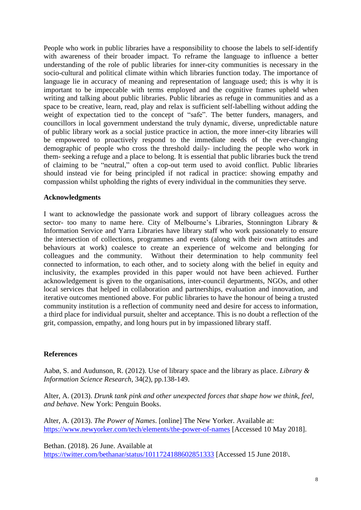People who work in public libraries have a responsibility to choose the labels to self-identify with awareness of their broader impact. To reframe the language to influence a better understanding of the role of public libraries for inner-city communities is necessary in the socio-cultural and political climate within which libraries function today. The importance of language lie in accuracy of meaning and representation of language used; this is why it is important to be impeccable with terms employed and the cognitive frames upheld when writing and talking about public libraries. Public libraries as refuge in communities and as a space to be creative, learn, read, play and relax is sufficient self-labelling without adding the weight of expectation tied to the concept of "safe". The better funders, managers, and councillors in local government understand the truly dynamic, diverse, unpredictable nature of public library work as a social justice practice in action, the more inner-city libraries will be empowered to proactively respond to the immediate needs of the ever-changing demographic of people who cross the threshold daily- including the people who work in them- seeking a refuge and a place to belong. It is essential that public libraries buck the trend of claiming to be "neutral," often a cop-out term used to avoid conflict. Public libraries should instead vie for being principled if not radical in practice: showing empathy and compassion whilst upholding the rights of every individual in the communities they serve.

#### **Acknowledgments**

I want to acknowledge the passionate work and support of library colleagues across the sector- too many to name here. City of Melbourne's Libraries, Stonnington Library & Information Service and Yarra Libraries have library staff who work passionately to ensure the intersection of collections, programmes and events (along with their own attitudes and behaviours at work) coalesce to create an experience of welcome and belonging for colleagues and the community. Without their determination to help community feel connected to information, to each other, and to society along with the belief in equity and inclusivity, the examples provided in this paper would not have been achieved. Further acknowledgement is given to the organisations, inter-council departments, NGOs, and other local services that helped in collaboration and partnerships, evaluation and innovation, and iterative outcomes mentioned above. For public libraries to have the honour of being a trusted community institution is a reflection of community need and desire for access to information, a third place for individual pursuit, shelter and acceptance. This is no doubt a reflection of the grit, compassion, empathy, and long hours put in by impassioned library staff.

### **References**

Aabø, S. and Audunson, R. (2012). Use of library space and the library as place. *Library & Information Science Research*, 34(2), pp.138-149.

Alter, A. (2013). *Drunk tank pink and other unexpected forces that shape how we think, feel, and behave*. New York: Penguin Books.

Alter, A. (2013). *The Power of Names*. [online] The New Yorker. Available at: <https://www.newyorker.com/tech/elements/the-power-of-names> [Accessed 10 May 2018].

Bethan. (2018). 26 June. Available at <https://twitter.com/bethanar/status/1011724188602851333> [Accessed 15 June 2018\.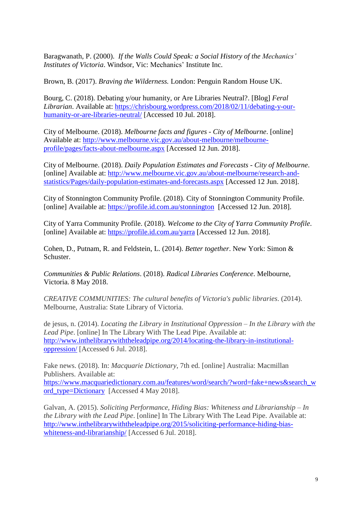Baragwanath, P. (2000). *If the Walls Could Speak: a Social History of the Mechanics' Institutes of Victoria*. Windsor, Vic: Mechanics' Institute Inc.

Brown, B. (2017). *Braving the Wilderness.* London: Penguin Random House UK.

Bourg, C. (2018). Debating y/our humanity, or Are Libraries Neutral?. [Blog] *Feral Librarian*. Available at: [https://chrisbourg.wordpress.com/2018/02/11/debating-y-our](https://chrisbourg.wordpress.com/2018/02/11/debating-y-our-humanity-or-are-libraries-neutral/)[humanity-or-are-libraries-neutral/](https://chrisbourg.wordpress.com/2018/02/11/debating-y-our-humanity-or-are-libraries-neutral/) [Accessed 10 Jul. 2018].

City of Melbourne. (2018). *Melbourne facts and figures - City of Melbourne*. [online] Available at: [http://www.melbourne.vic.gov.au/about-melbourne/melbourne](http://www.melbourne.vic.gov.au/about-melbourne/melbourne-profile/pages/facts-about-melbourne.aspx)[profile/pages/facts-about-melbourne.aspx](http://www.melbourne.vic.gov.au/about-melbourne/melbourne-profile/pages/facts-about-melbourne.aspx) [Accessed 12 Jun. 2018].

City of Melbourne. (2018). *Daily Population Estimates and Forecasts - City of Melbourne*. [online] Available at: [http://www.melbourne.vic.gov.au/about-melbourne/research-and](http://www.melbourne.vic.gov.au/about-melbourne/research-and-statistics/Pages/daily-population-estimates-and-forecasts.aspx)[statistics/Pages/daily-population-estimates-and-forecasts.aspx](http://www.melbourne.vic.gov.au/about-melbourne/research-and-statistics/Pages/daily-population-estimates-and-forecasts.aspx) [Accessed 12 Jun. 2018].

City of Stonnington Community Profile. (2018). City of Stonnington Community Profile. [online] Available at: <https://profile.id.com.au/stonnington>[Accessed 12 Jun. 2018].

City of Yarra Community Profile. (2018). *Welcome to the City of Yarra Community Profile*. [online] Available at: <https://profile.id.com.au/yarra> [Accessed 12 Jun. 2018].

Cohen, D., Putnam, R. and Feldstein, L. (2014). *Better together*. New York: Simon & Schuster.

*Communities & Public Relations*. (2018). *Radical Libraries Conference*. Melbourne, Victoria. 8 May 2018.

*CREATIVE COMMUNITIES: The cultural benefits of Victoria's public libraries*. (2014). Melbourne, Australia: State Library of Victoria.

de jesus, n. (2014). *Locating the Library in Institutional Oppression – In the Library with the Lead Pipe*. [online] In The Library With The Lead Pipe. Available at: [http://www.inthelibrarywiththeleadpipe.org/2014/locating-the-library-in-institutional](http://www.inthelibrarywiththeleadpipe.org/2014/locating-the-library-in-institutional-oppression/)[oppression/](http://www.inthelibrarywiththeleadpipe.org/2014/locating-the-library-in-institutional-oppression/) [Accessed 6 Jul. 2018].

Fake news. (2018). In: *Macquarie Dictionary*, 7th ed. [online] Australia: Macmillan Publishers. Available at:

[https://www.macquariedictionary.com.au/features/word/search/?word=fake+news&search\\_w](https://www.macquariedictionary.com.au/features/word/search/?word=fake+news&search_word_type=Dictionary) [ord\\_type=Dictionary](https://www.macquariedictionary.com.au/features/word/search/?word=fake+news&search_word_type=Dictionary) [Accessed 4 May 2018].

Galvan, A. (2015). *Soliciting Performance, Hiding Bias: Whiteness and Librarianship – In the Library with the Lead Pipe*. [online] In The Library With The Lead Pipe. Available at: [http://www.inthelibrarywiththeleadpipe.org/2015/soliciting-performance-hiding-bias](http://www.inthelibrarywiththeleadpipe.org/2015/soliciting-performance-hiding-bias-whiteness-and-librarianship/)[whiteness-and-librarianship/](http://www.inthelibrarywiththeleadpipe.org/2015/soliciting-performance-hiding-bias-whiteness-and-librarianship/) [Accessed 6 Jul. 2018].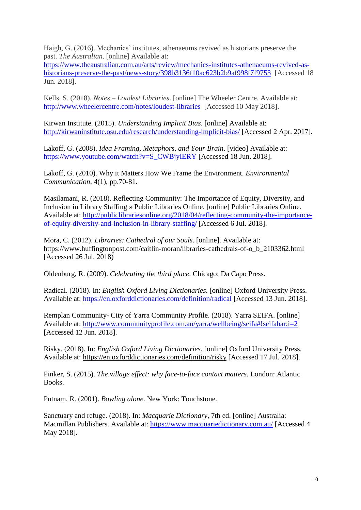Haigh, G. (2016). Mechanics' institutes, athenaeums revived as historians preserve the past. *The Australian*. [online] Available at:

[https://www.theaustralian.com.au/arts/review/mechanics-institutes-athenaeums-revived-as](https://www.theaustralian.com.au/arts/review/mechanics-institutes-athenaeums-revived-as-historians-preserve-the-past/news-story/398b3136f10ac623b2b9af998f7f9753)[historians-preserve-the-past/news-story/398b3136f10ac623b2b9af998f7f9753](https://www.theaustralian.com.au/arts/review/mechanics-institutes-athenaeums-revived-as-historians-preserve-the-past/news-story/398b3136f10ac623b2b9af998f7f9753) [Accessed 18] Jun. 2018].

Kells, S. (2018). *Notes – Loudest Libraries*. [online] The Wheeler Centre. Available at: <http://www.wheelercentre.com/notes/loudest-libraries>[Accessed 10 May 2018].

Kirwan Institute. (2015). *Understanding Implicit Bias*. [online] Available at: <http://kirwaninstitute.osu.edu/research/understanding-implicit-bias/> [Accessed 2 Apr. 2017].

Lakoff, G. (2008). *Idea Framing, Metaphors, and Your Brain*. [video] Available at: [https://www.youtube.com/watch?v=S\\_CWBjyIERY](https://www.youtube.com/watch?v=S_CWBjyIERY) [Accessed 18 Jun. 2018].

Lakoff, G. (2010). Why it Matters How We Frame the Environment. *Environmental Communication*, 4(1), pp.70-81.

Masilamani, R. (2018). Reflecting Community: The Importance of Equity, Diversity, and Inclusion in Library Staffing » Public Libraries Online. [online] Public Libraries Online. Available at: [http://publiclibrariesonline.org/2018/04/reflecting-community-the-importance](http://publiclibrariesonline.org/2018/04/reflecting-community-the-importance-of-equity-diversity-and-inclusion-in-library-staffing/)[of-equity-diversity-and-inclusion-in-library-staffing/](http://publiclibrariesonline.org/2018/04/reflecting-community-the-importance-of-equity-diversity-and-inclusion-in-library-staffing/) [Accessed 6 Jul. 2018].

Mora, C. (2012). *Libraries: Cathedral of our Souls.* [online]. Available at: [https://www.huffingtonpost.com/caitlin-moran/libraries-cathedrals-of-o\\_b\\_2103362.html](https://www.huffingtonpost.com/caitlin-moran/libraries-cathedrals-of-o_b_2103362.html)  [Accessed 26 Jul. 2018)

Oldenburg, R. (2009). *Celebrating the third place*. Chicago: Da Capo Press.

Radical. (2018). In: *English Oxford Living Dictionaries*. [online] Oxford University Press. Available at: <https://en.oxforddictionaries.com/definition/radical> [Accessed 13 Jun. 2018].

Remplan Community- City of Yarra Community Profile. (2018). Yarra SEIFA. [online] Available at: <http://www.communityprofile.com.au/yarra/wellbeing/seifa#!seifabar;i=2> [Accessed 12 Jun. 2018].

Risky. (2018). In: *English Oxford Living Dictionaries*. [online] Oxford University Press. Available at: <https://en.oxforddictionaries.com/definition/risky> [Accessed 17 Jul. 2018].

Pinker, S. (2015). *The village effect: why face-to-face contact matters*. London: Atlantic Books.

Putnam, R. (2001). *Bowling alone*. New York: Touchstone.

Sanctuary and refuge. (2018). In: *Macquarie Dictionary*, 7th ed. [online] Australia: Macmillan Publishers. Available at: <https://www.macquariedictionary.com.au/> [Accessed 4 May 2018].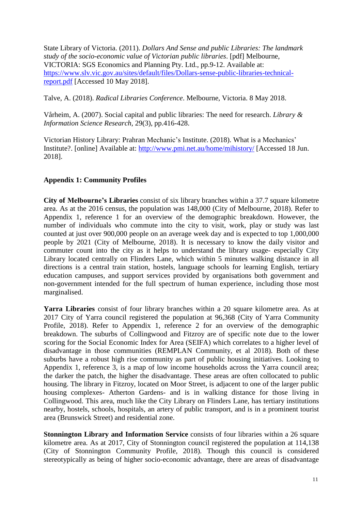State Library of Victoria. (2011). *Dollars And Sense and public Libraries: The landmark study of the socio-economic value of Victorian public libraries*. [pdf] Melbourne, VICTORIA: SGS Economics and Planning Pty. Ltd., pp.9-12. Available at: [https://www.slv.vic.gov.au/sites/default/files/Dollars-sense-public-libraries-technical](https://www.slv.vic.gov.au/sites/default/files/Dollars-sense-public-libraries-technical-report.pdf)[report.pdf](https://www.slv.vic.gov.au/sites/default/files/Dollars-sense-public-libraries-technical-report.pdf) [Accessed 10 May 2018].

Talve, A. (2018). *Radical Libraries Conference*. Melbourne, Victoria. 8 May 2018.

Vårheim, A. (2007). Social capital and public libraries: The need for research. *Library & Information Science Research*, 29(3), pp.416-428.

Victorian History Library: Prahran Mechanic's Institute. (2018). What is a Mechanics' Institute?. [online] Available at: <http://www.pmi.net.au/home/mihistory/> [Accessed 18 Jun. 2018].

# **Appendix 1: Community Profiles**

**City of Melbourne's Libraries** consist of six library branches within a 37.7 square kilometre area. As at the 2016 census, the population was 148,000 (City of Melbourne, 2018). Refer to Appendix 1, reference 1 for an overview of the demographic breakdown. However, the number of individuals who commute into the city to visit, work, play or study was last counted at just over 900,000 people on an average week day and is expected to top 1,000,000 people by 2021 (City of Melbourne, 2018). It is necessary to know the daily visitor and commuter count into the city as it helps to understand the library usage- especially City Library located centrally on Flinders Lane, which within 5 minutes walking distance in all directions is a central train station, hostels, language schools for learning English, tertiary education campuses, and support services provided by organisations both government and non-government intended for the full spectrum of human experience, including those most marginalised.

**Yarra Libraries** consist of four library branches within a 20 square kilometre area. As at 2017 City of Yarra council registered the population at 96,368 (City of Yarra Community Profile, 2018). Refer to Appendix 1, reference 2 for an overview of the demographic breakdown. The suburbs of Collingwood and Fitzroy are of specific note due to the lower scoring for the Social Economic Index for Area (SEIFA) which correlates to a higher level of disadvantage in those communities (REMPLAN Community, et al 2018). Both of these suburbs have a robust high rise community as part of public housing initiatives. Looking to Appendix 1, reference 3, is a map of low income households across the Yarra council area; the darker the patch, the higher the disadvantage. These areas are often collocated to public housing. The library in Fitzroy, located on Moor Street, is adjacent to one of the larger public housing complexes- Atherton Gardens- and is in walking distance for those living in Collingwood. This area, much like the City Library on Flinders Lane, has tertiary institutions nearby, hostels, schools, hospitals, an artery of public transport, and is in a prominent tourist area (Brunswick Street) and residential zone.

**Stonnington Library and Information Service** consists of four libraries within a 26 square kilometre area. As at 2017, City of Stonnington council registered the population at 114,138 (City of Stonnington Community Profile, 2018). Though this council is considered stereotypically as being of higher socio-economic advantage, there are areas of disadvantage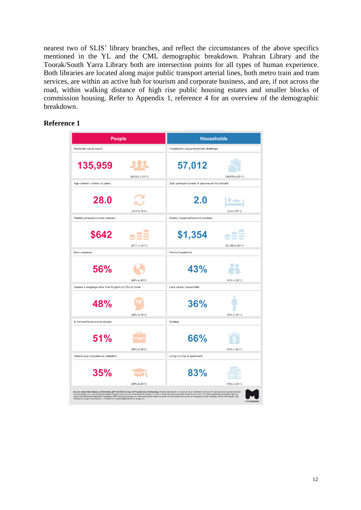nearest two of SLIS' library branches, and reflect the circumstances of the above specifics mentioned in the YL and the CML demographic breakdown. Prahran Library and the Toorak/South Yarra Library both are intersection points for all types of human experience. Both libraries are located along major public transport arterial lines, both metro train and tram services, are within an active hub for tourism and corporate business, and are, if not across the road, within walking distance of high rise public housing estates and smaller blocks of commission housing. Refer to Appendix 1, reference 4 for an overview of the demographic breakdown.

# **Reference 1**

| People                                                                                                                                                                                                                            | <b>Households</b>                              |  |  |  |
|-----------------------------------------------------------------------------------------------------------------------------------------------------------------------------------------------------------------------------------|------------------------------------------------|--|--|--|
| Residents (usual count)                                                                                                                                                                                                           | Households (occupied private dwellings)        |  |  |  |
| 135,959<br>(93,625 in 2011)                                                                                                                                                                                                       | 57,012<br>(39,976 in 2011)                     |  |  |  |
| Age (median number of years)                                                                                                                                                                                                      | Size (average number of persons per household) |  |  |  |
| 28.0<br>(28.0 in 2011)                                                                                                                                                                                                            | 2.0<br>(2.0 in 2011)                           |  |  |  |
| Weekly personal income (median)                                                                                                                                                                                                   | Weekly household income (median)               |  |  |  |
| \$642<br>(\$711 in 2011)                                                                                                                                                                                                          | \$1,354<br>(\$1,352 in 2011)                   |  |  |  |
| Born overseas                                                                                                                                                                                                                     | Family households                              |  |  |  |
| 56%<br>(48% in 2011)                                                                                                                                                                                                              | 43%<br>(45% in 2011)                           |  |  |  |
| Speaks a language other than English (LOTE) at home                                                                                                                                                                               | Lone person households                         |  |  |  |
| 48%<br>(38% in 2011)                                                                                                                                                                                                              | 36%<br>(38% in 2011)                           |  |  |  |
| In the workforce and employed                                                                                                                                                                                                     | Renting                                        |  |  |  |
| <b>51%</b><br>(56% in 2011)                                                                                                                                                                                                       | 66%<br>(63% in 2011)                           |  |  |  |
| Attending an educational institution                                                                                                                                                                                              | Living in a flat or apartment                  |  |  |  |
| 35%<br>(30% in 2011)                                                                                                                                                                                                              | 83%<br>(78% in 2011)                           |  |  |  |
| Source: Australian Bureau of Statistics 2011 & 2016 Census of Population and Housing. People data based on place of usual residence and count of (all) persons except personal                                                    |                                                |  |  |  |
| income (based on count of persons aged 15 years and over) and employment (based on count of employed persons aged 15 years and over). For latest (adjusted) population figures,<br>refers the Estimated Resident Population (ERP) |                                                |  |  |  |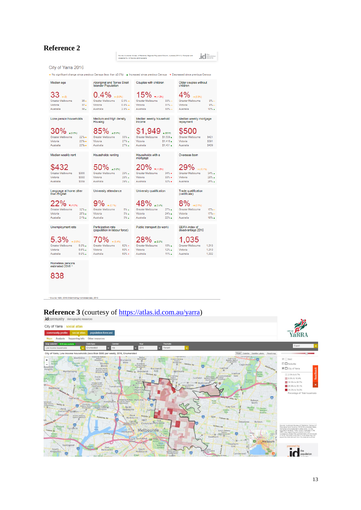| Source: Australian Bureau of Statistics, Recional Population Growth, Australia (3218.0). Cornolled and<br>presented by .id the population experts<br>City of Yarra 2016<br>+ No significant change since previous Census (less than ±0.5%) A Increased since previous Census $\bullet$ Decreased since previous Census<br><b>Aboriginal and Torres Strait</b><br>Couples with children<br>Older couples without<br>Median age<br><b>Islander Population</b><br>children<br>15%<br>$\Psi( -1.056)$<br>$+10.051$<br>4140.3%)<br>Greater Melbourne<br>36 <sub>th</sub><br>Greater Melbourne<br>$0.5% +$<br><b>Greater Melbourne</b><br>33%<br>Greater Melbourne<br>$0.8\%$ ++<br>31%<br>$37 +$<br>Victoria<br>Victoria<br>Victoria<br>Victoria<br>Australia<br>38 <sub>4</sub><br>Australia<br>$2.8% +$<br>Australia<br>$30\%$<br>Australia<br>Lone person households<br>Medium and high density<br>Median weekly household<br>Median weekly mortgage<br>Housing<br>income<br>repayment<br>\$1,949<br>30%<br>4.00,656<br>A (6.9%)<br>A(5316)<br><b>Greater Melbourne</b><br>$22\%$ +<br><b>Greater Melbourne</b><br>$33\%$ $\triangle$<br><b>Greater Melbourne</b><br>\$1.539 <sub>4</sub><br><b>Greater Melbourne</b><br>$23% +$<br>27%<br>Victoria<br>Victoria<br>Victoria<br>$$1,416$ $\triangle$<br>Victoria<br>Australia<br>$23% +$<br>Australia<br>27%<br>Australia<br>\$1.431 <sub>4</sub><br>Australia<br>Households with a<br>Median weekly rent<br>Households renting<br>Overseas born<br>mortgage<br>50%<br>6<br>471,6%)<br>$\Psi(-1, 856)$<br>49 (-0.1%)<br>\$355<br>29%.<br><b>Greater Melbourne</b><br>34%<br><b>Greater Melbourne</b><br><b>Greater Melbourne</b><br><b>Greater Melbourne</b><br>\$330<br>28%.<br>33%<br>Victoria<br>Victoria<br>Victoria<br>Victoria<br>Australia<br>\$339<br>29% 4<br>Australia<br>32%<br>Australia<br>Australia<br>Language at home other<br>University attendance<br>University qualification<br>Trade qualification<br>than English<br>(certificate)<br>٥<br>$\triangle(3.4\%)$<br>$\P( -1.0\%)$<br>$+ (0.1%)$<br>++ (0.1%)<br><b>Greater Melbourne</b><br>$32\%$ $\triangle$<br>Greater Melbourne<br><b>Greater Melbourne</b><br>27%<br>Greater Melbourne<br>$6\%$ $\star$<br>26%.<br>5% .<br>24%<br>Victoria<br>Victoria<br>Victoria<br>Victoria<br>22%<br>21%<br>5%<br>Australia<br>Australia<br>Australia<br>Australia<br>Public transport (to work)<br>Unemployment rate<br>Participation rate<br>SEIFA index of<br>(population in labour force)<br>disadvantage 2016<br>5.3%<br>46.01.5%)<br>A(2.295)<br>++ (0.4%)<br>6.8%<br><b>Greater Melbourne</b><br>62%<br><b>Greater Melbourne</b><br>15%<br><b>Greater Melbourne</b><br>Greater Melbourne<br>Victoria<br>$6.6\%$<br>Victoria<br>60% +<br>Victoria<br>12%<br>Victoria<br>6.9%<br>60%<br>Australia<br>Australia<br>Australia<br>Australia | <b>Reference 2</b> |  |  |  |  |        |                              |             |
|--------------------------------------------------------------------------------------------------------------------------------------------------------------------------------------------------------------------------------------------------------------------------------------------------------------------------------------------------------------------------------------------------------------------------------------------------------------------------------------------------------------------------------------------------------------------------------------------------------------------------------------------------------------------------------------------------------------------------------------------------------------------------------------------------------------------------------------------------------------------------------------------------------------------------------------------------------------------------------------------------------------------------------------------------------------------------------------------------------------------------------------------------------------------------------------------------------------------------------------------------------------------------------------------------------------------------------------------------------------------------------------------------------------------------------------------------------------------------------------------------------------------------------------------------------------------------------------------------------------------------------------------------------------------------------------------------------------------------------------------------------------------------------------------------------------------------------------------------------------------------------------------------------------------------------------------------------------------------------------------------------------------------------------------------------------------------------------------------------------------------------------------------------------------------------------------------------------------------------------------------------------------------------------------------------------------------------------------------------------------------------------------------------------------------------------------------------------------------------------------------------------------------------------------------------------------------------------------------------------------------------------------------------------------------------------------------------------------------------------------------------------------------------------------------------------------------------------------------------|--------------------|--|--|--|--|--------|------------------------------|-------------|
|                                                                                                                                                                                                                                                                                                                                                                                                                                                                                                                                                                                                                                                                                                                                                                                                                                                                                                                                                                                                                                                                                                                                                                                                                                                                                                                                                                                                                                                                                                                                                                                                                                                                                                                                                                                                                                                                                                                                                                                                                                                                                                                                                                                                                                                                                                                                                                                                                                                                                                                                                                                                                                                                                                                                                                                                                                                        |                    |  |  |  |  |        | the<br>population<br>experts |             |
|                                                                                                                                                                                                                                                                                                                                                                                                                                                                                                                                                                                                                                                                                                                                                                                                                                                                                                                                                                                                                                                                                                                                                                                                                                                                                                                                                                                                                                                                                                                                                                                                                                                                                                                                                                                                                                                                                                                                                                                                                                                                                                                                                                                                                                                                                                                                                                                                                                                                                                                                                                                                                                                                                                                                                                                                                                                        |                    |  |  |  |  |        |                              |             |
|                                                                                                                                                                                                                                                                                                                                                                                                                                                                                                                                                                                                                                                                                                                                                                                                                                                                                                                                                                                                                                                                                                                                                                                                                                                                                                                                                                                                                                                                                                                                                                                                                                                                                                                                                                                                                                                                                                                                                                                                                                                                                                                                                                                                                                                                                                                                                                                                                                                                                                                                                                                                                                                                                                                                                                                                                                                        |                    |  |  |  |  |        |                              |             |
|                                                                                                                                                                                                                                                                                                                                                                                                                                                                                                                                                                                                                                                                                                                                                                                                                                                                                                                                                                                                                                                                                                                                                                                                                                                                                                                                                                                                                                                                                                                                                                                                                                                                                                                                                                                                                                                                                                                                                                                                                                                                                                                                                                                                                                                                                                                                                                                                                                                                                                                                                                                                                                                                                                                                                                                                                                                        |                    |  |  |  |  |        |                              |             |
|                                                                                                                                                                                                                                                                                                                                                                                                                                                                                                                                                                                                                                                                                                                                                                                                                                                                                                                                                                                                                                                                                                                                                                                                                                                                                                                                                                                                                                                                                                                                                                                                                                                                                                                                                                                                                                                                                                                                                                                                                                                                                                                                                                                                                                                                                                                                                                                                                                                                                                                                                                                                                                                                                                                                                                                                                                                        |                    |  |  |  |  |        |                              |             |
|                                                                                                                                                                                                                                                                                                                                                                                                                                                                                                                                                                                                                                                                                                                                                                                                                                                                                                                                                                                                                                                                                                                                                                                                                                                                                                                                                                                                                                                                                                                                                                                                                                                                                                                                                                                                                                                                                                                                                                                                                                                                                                                                                                                                                                                                                                                                                                                                                                                                                                                                                                                                                                                                                                                                                                                                                                                        |                    |  |  |  |  |        |                              | 8%          |
|                                                                                                                                                                                                                                                                                                                                                                                                                                                                                                                                                                                                                                                                                                                                                                                                                                                                                                                                                                                                                                                                                                                                                                                                                                                                                                                                                                                                                                                                                                                                                                                                                                                                                                                                                                                                                                                                                                                                                                                                                                                                                                                                                                                                                                                                                                                                                                                                                                                                                                                                                                                                                                                                                                                                                                                                                                                        |                    |  |  |  |  |        |                              | 9%          |
|                                                                                                                                                                                                                                                                                                                                                                                                                                                                                                                                                                                                                                                                                                                                                                                                                                                                                                                                                                                                                                                                                                                                                                                                                                                                                                                                                                                                                                                                                                                                                                                                                                                                                                                                                                                                                                                                                                                                                                                                                                                                                                                                                                                                                                                                                                                                                                                                                                                                                                                                                                                                                                                                                                                                                                                                                                                        |                    |  |  |  |  |        |                              | $10% +$     |
|                                                                                                                                                                                                                                                                                                                                                                                                                                                                                                                                                                                                                                                                                                                                                                                                                                                                                                                                                                                                                                                                                                                                                                                                                                                                                                                                                                                                                                                                                                                                                                                                                                                                                                                                                                                                                                                                                                                                                                                                                                                                                                                                                                                                                                                                                                                                                                                                                                                                                                                                                                                                                                                                                                                                                                                                                                                        |                    |  |  |  |  |        |                              |             |
|                                                                                                                                                                                                                                                                                                                                                                                                                                                                                                                                                                                                                                                                                                                                                                                                                                                                                                                                                                                                                                                                                                                                                                                                                                                                                                                                                                                                                                                                                                                                                                                                                                                                                                                                                                                                                                                                                                                                                                                                                                                                                                                                                                                                                                                                                                                                                                                                                                                                                                                                                                                                                                                                                                                                                                                                                                                        |                    |  |  |  |  |        |                              |             |
|                                                                                                                                                                                                                                                                                                                                                                                                                                                                                                                                                                                                                                                                                                                                                                                                                                                                                                                                                                                                                                                                                                                                                                                                                                                                                                                                                                                                                                                                                                                                                                                                                                                                                                                                                                                                                                                                                                                                                                                                                                                                                                                                                                                                                                                                                                                                                                                                                                                                                                                                                                                                                                                                                                                                                                                                                                                        |                    |  |  |  |  |        |                              | S421        |
|                                                                                                                                                                                                                                                                                                                                                                                                                                                                                                                                                                                                                                                                                                                                                                                                                                                                                                                                                                                                                                                                                                                                                                                                                                                                                                                                                                                                                                                                                                                                                                                                                                                                                                                                                                                                                                                                                                                                                                                                                                                                                                                                                                                                                                                                                                                                                                                                                                                                                                                                                                                                                                                                                                                                                                                                                                                        |                    |  |  |  |  |        |                              | <b>S391</b> |
|                                                                                                                                                                                                                                                                                                                                                                                                                                                                                                                                                                                                                                                                                                                                                                                                                                                                                                                                                                                                                                                                                                                                                                                                                                                                                                                                                                                                                                                                                                                                                                                                                                                                                                                                                                                                                                                                                                                                                                                                                                                                                                                                                                                                                                                                                                                                                                                                                                                                                                                                                                                                                                                                                                                                                                                                                                                        |                    |  |  |  |  |        |                              | <b>S409</b> |
|                                                                                                                                                                                                                                                                                                                                                                                                                                                                                                                                                                                                                                                                                                                                                                                                                                                                                                                                                                                                                                                                                                                                                                                                                                                                                                                                                                                                                                                                                                                                                                                                                                                                                                                                                                                                                                                                                                                                                                                                                                                                                                                                                                                                                                                                                                                                                                                                                                                                                                                                                                                                                                                                                                                                                                                                                                                        |                    |  |  |  |  |        |                              |             |
|                                                                                                                                                                                                                                                                                                                                                                                                                                                                                                                                                                                                                                                                                                                                                                                                                                                                                                                                                                                                                                                                                                                                                                                                                                                                                                                                                                                                                                                                                                                                                                                                                                                                                                                                                                                                                                                                                                                                                                                                                                                                                                                                                                                                                                                                                                                                                                                                                                                                                                                                                                                                                                                                                                                                                                                                                                                        |                    |  |  |  |  |        |                              |             |
|                                                                                                                                                                                                                                                                                                                                                                                                                                                                                                                                                                                                                                                                                                                                                                                                                                                                                                                                                                                                                                                                                                                                                                                                                                                                                                                                                                                                                                                                                                                                                                                                                                                                                                                                                                                                                                                                                                                                                                                                                                                                                                                                                                                                                                                                                                                                                                                                                                                                                                                                                                                                                                                                                                                                                                                                                                                        |                    |  |  |  |  |        |                              | 34%         |
|                                                                                                                                                                                                                                                                                                                                                                                                                                                                                                                                                                                                                                                                                                                                                                                                                                                                                                                                                                                                                                                                                                                                                                                                                                                                                                                                                                                                                                                                                                                                                                                                                                                                                                                                                                                                                                                                                                                                                                                                                                                                                                                                                                                                                                                                                                                                                                                                                                                                                                                                                                                                                                                                                                                                                                                                                                                        |                    |  |  |  |  |        |                              | 28%.        |
|                                                                                                                                                                                                                                                                                                                                                                                                                                                                                                                                                                                                                                                                                                                                                                                                                                                                                                                                                                                                                                                                                                                                                                                                                                                                                                                                                                                                                                                                                                                                                                                                                                                                                                                                                                                                                                                                                                                                                                                                                                                                                                                                                                                                                                                                                                                                                                                                                                                                                                                                                                                                                                                                                                                                                                                                                                                        |                    |  |  |  |  |        |                              | 26% +       |
|                                                                                                                                                                                                                                                                                                                                                                                                                                                                                                                                                                                                                                                                                                                                                                                                                                                                                                                                                                                                                                                                                                                                                                                                                                                                                                                                                                                                                                                                                                                                                                                                                                                                                                                                                                                                                                                                                                                                                                                                                                                                                                                                                                                                                                                                                                                                                                                                                                                                                                                                                                                                                                                                                                                                                                                                                                                        |                    |  |  |  |  |        |                              |             |
|                                                                                                                                                                                                                                                                                                                                                                                                                                                                                                                                                                                                                                                                                                                                                                                                                                                                                                                                                                                                                                                                                                                                                                                                                                                                                                                                                                                                                                                                                                                                                                                                                                                                                                                                                                                                                                                                                                                                                                                                                                                                                                                                                                                                                                                                                                                                                                                                                                                                                                                                                                                                                                                                                                                                                                                                                                                        |                    |  |  |  |  |        |                              |             |
|                                                                                                                                                                                                                                                                                                                                                                                                                                                                                                                                                                                                                                                                                                                                                                                                                                                                                                                                                                                                                                                                                                                                                                                                                                                                                                                                                                                                                                                                                                                                                                                                                                                                                                                                                                                                                                                                                                                                                                                                                                                                                                                                                                                                                                                                                                                                                                                                                                                                                                                                                                                                                                                                                                                                                                                                                                                        |                    |  |  |  |  |        |                              | 15%         |
|                                                                                                                                                                                                                                                                                                                                                                                                                                                                                                                                                                                                                                                                                                                                                                                                                                                                                                                                                                                                                                                                                                                                                                                                                                                                                                                                                                                                                                                                                                                                                                                                                                                                                                                                                                                                                                                                                                                                                                                                                                                                                                                                                                                                                                                                                                                                                                                                                                                                                                                                                                                                                                                                                                                                                                                                                                                        |                    |  |  |  |  |        |                              | 17%         |
|                                                                                                                                                                                                                                                                                                                                                                                                                                                                                                                                                                                                                                                                                                                                                                                                                                                                                                                                                                                                                                                                                                                                                                                                                                                                                                                                                                                                                                                                                                                                                                                                                                                                                                                                                                                                                                                                                                                                                                                                                                                                                                                                                                                                                                                                                                                                                                                                                                                                                                                                                                                                                                                                                                                                                                                                                                                        |                    |  |  |  |  |        |                              | 19% +       |
|                                                                                                                                                                                                                                                                                                                                                                                                                                                                                                                                                                                                                                                                                                                                                                                                                                                                                                                                                                                                                                                                                                                                                                                                                                                                                                                                                                                                                                                                                                                                                                                                                                                                                                                                                                                                                                                                                                                                                                                                                                                                                                                                                                                                                                                                                                                                                                                                                                                                                                                                                                                                                                                                                                                                                                                                                                                        |                    |  |  |  |  |        |                              |             |
|                                                                                                                                                                                                                                                                                                                                                                                                                                                                                                                                                                                                                                                                                                                                                                                                                                                                                                                                                                                                                                                                                                                                                                                                                                                                                                                                                                                                                                                                                                                                                                                                                                                                                                                                                                                                                                                                                                                                                                                                                                                                                                                                                                                                                                                                                                                                                                                                                                                                                                                                                                                                                                                                                                                                                                                                                                                        |                    |  |  |  |  |        |                              |             |
|                                                                                                                                                                                                                                                                                                                                                                                                                                                                                                                                                                                                                                                                                                                                                                                                                                                                                                                                                                                                                                                                                                                                                                                                                                                                                                                                                                                                                                                                                                                                                                                                                                                                                                                                                                                                                                                                                                                                                                                                                                                                                                                                                                                                                                                                                                                                                                                                                                                                                                                                                                                                                                                                                                                                                                                                                                                        |                    |  |  |  |  |        |                              | 1.018       |
|                                                                                                                                                                                                                                                                                                                                                                                                                                                                                                                                                                                                                                                                                                                                                                                                                                                                                                                                                                                                                                                                                                                                                                                                                                                                                                                                                                                                                                                                                                                                                                                                                                                                                                                                                                                                                                                                                                                                                                                                                                                                                                                                                                                                                                                                                                                                                                                                                                                                                                                                                                                                                                                                                                                                                                                                                                                        |                    |  |  |  |  |        |                              | 1.010       |
|                                                                                                                                                                                                                                                                                                                                                                                                                                                                                                                                                                                                                                                                                                                                                                                                                                                                                                                                                                                                                                                                                                                                                                                                                                                                                                                                                                                                                                                                                                                                                                                                                                                                                                                                                                                                                                                                                                                                                                                                                                                                                                                                                                                                                                                                                                                                                                                                                                                                                                                                                                                                                                                                                                                                                                                                                                                        |                    |  |  |  |  | $11\%$ |                              | 1.002       |

Homeless persons<br>estimated 2016 \*

838

Source: ABB, 2049.0 Estimating Homelessness, 2016

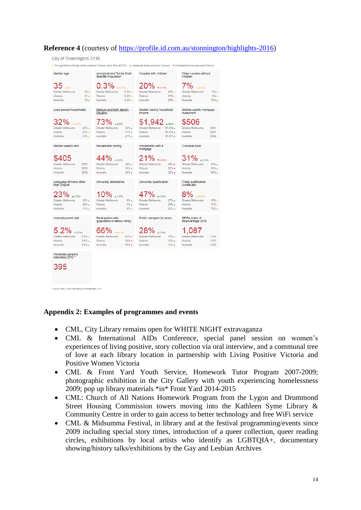# **Reference 4** (courtesy of [https://profile.id.com.au/stonnington/highlights-2016\)](https://profile.id.com.au/stonnington/highlights-2016)



#### **Appendix 2: Examples of programmes and events**

ABS, 2049.0 Estimating Homelessness, 2016

- CML, City Library remains open for WHITE NIGHT extravaganza
- CML & International AIDs Conference, special panel session on women's experiences of living positive, story collection vía oral interview, and a communal tree of love at each library location in partnership with Living Positive Victoria and Positive Women Victoria
- CML & Front Yard Youth Service, Homework Tutor Program 2007-2009; photographic exhibition in the City Gallery with youth experiencing homelessness 2009; pop up library materials \*in\* Front Yard 2014-2015
- CML: Church of All Nations Homework Program from the Lygon and Drummond Street Housing Commission towers moving into the Kathleen Syme Library & Community Centre in order to gain access to better technology and free WiFi service
- CML & Midsumma Festival, in library and at the festival programming/events since 2009 including special story times, introduction of a queer collection, queer reading circles, exhibitions by local artists who identify as LGBTQIA+, documentary showing/history talks/exhibitions by the Gay and Lesbian Archives